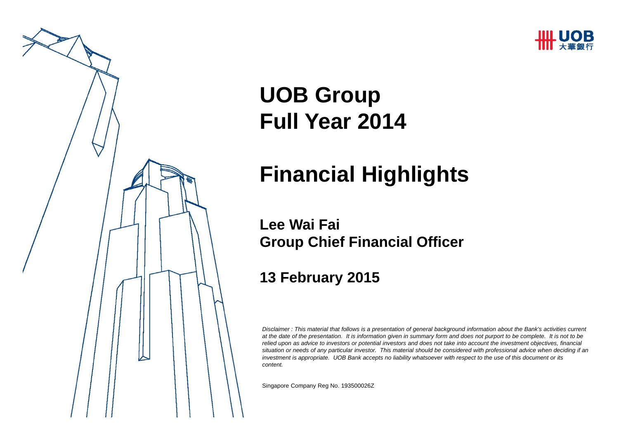



# **UOB Group Full Year 2014**

# **Financial Highlights**

**Lee Wai FaiGroup Chief Financial Officer** 

#### **13 February 2015**

*Disclaimer : This material that follows is a presentation of general background information about the Bank's activities current at the date of the presentation. It is information given in summary form and does not purport to be complete. It is not to be relied upon as advice to investors or potential investors and does not take into account the investment objectives, financial situation or needs of any particular investor. This material should be considered with professional advice when deciding if an investment is appropriate. UOB Bank accepts no liability whatsoever with respect to the use of this document or its content.*

Singapore Company Reg No. 193500026 Z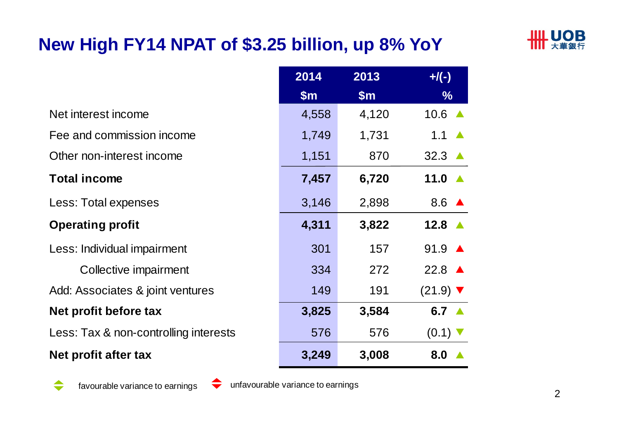## **New High FY14 NPAT of \$3.25 billion, up 8% YoY**



|                                       | 2014          | 2013          | $+$ /(-)                      |
|---------------------------------------|---------------|---------------|-------------------------------|
|                                       | $\mathsf{Sm}$ | $\mathsf{Sm}$ | $\frac{9}{6}$                 |
| Net interest income                   | 4,558         | 4,120         | $10.6$ $\triangle$            |
| Fee and commission income             | 1,749         | 1,731         | 1.1                           |
| Other non-interest income             | 1,151         | 870           | 32.3                          |
| <b>Total income</b>                   | 7,457         | 6,720         | 11.0                          |
| Less: Total expenses                  | 3,146         | 2,898         | 8.6 $\triangle$               |
| <b>Operating profit</b>               | 4,311         | 3,822         | 12.8 $\triangle$              |
| Less: Individual impairment           | 301           | 157           | $91.9 \triangle$              |
| Collective impairment                 | 334           | 272           | 22.8 $\triangle$              |
| Add: Associates & joint ventures      | 149           | 191           | $(21.9)$ $\blacktriangledown$ |
| Net profit before tax                 | 3,825         | 3,584         | 6.7 $\triangle$               |
| Less: Tax & non-controlling interests | 576           | 576           | $(0.1)$ $\blacktriangledown$  |
| Net profit after tax                  | 3,249         | 3,008         | 8.0                           |

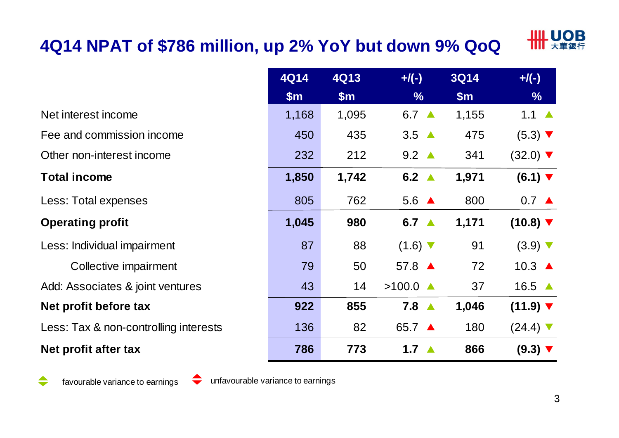## **4Q14 NPAT of \$786 million, up 2% YoY but down 9% QoQ**



|                                       | <b>4Q14</b> | 4Q13  | $+/(-)$                      | <b>3Q14</b> | $+/(-)$                       |
|---------------------------------------|-------------|-------|------------------------------|-------------|-------------------------------|
|                                       | \$m\$       | \$m\$ | $\frac{9}{6}$                | \$m\$       | $\frac{9}{6}$                 |
| Net interest income                   | 1,168       | 1,095 | 6.7 $\triangle$              | 1,155       | 1.1 $\triangle$               |
| Fee and commission income             | 450         | 435   | $3.5 \triangle$              | 475         | $(5.3)$ $\blacktriangledown$  |
| Other non-interest income             | 232         | 212   | $9.2 \triangle$              | 341         | $(32.0)$ $\blacktriangledown$ |
| <b>Total income</b>                   | 1,850       | 1,742 | 6.2 $\triangle$              | 1,971       | $(6.1)$ $\blacktriangledown$  |
| Less: Total expenses                  | 805         | 762   | $5.6 \triangle$              | 800         | $0.7 \triangle$               |
| <b>Operating profit</b>               | 1,045       | 980   | 6.7 $\triangle$              | 1,171       | $(10.8)$ $\blacktriangledown$ |
| Less: Individual impairment           | 87          | 88    | $(1.6)$ $\blacktriangledown$ | 91          | $(3.9)$ $\nabla$              |
| Collective impairment                 | 79          | 50    | 57.8 ▲                       | 72          | 10.3 $\triangle$              |
| Add: Associates & joint ventures      | 43          | 14    | $>100.0$ $\triangle$         | 37          | 16.5 $\triangle$              |
| Net profit before tax                 | 922         | 855   | $7.8 \triangle$              | 1,046       | $(11.9)$ $\blacktriangledown$ |
| Less: Tax & non-controlling interests | 136         | 82    | 65.7 ▲                       | 180         | $(24.4)$ $\blacktriangledown$ |
| Net profit after tax                  | 786         | 773   | 1.7 $\triangle$              | 866         | $(9.3)$ $\nabla$              |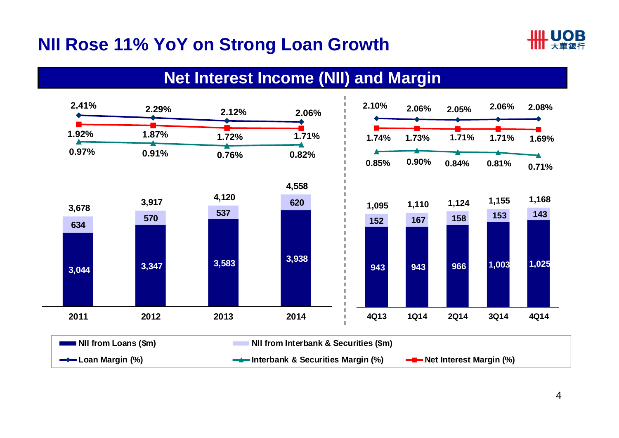### **NII Rose 11% YoY on Strong Loan Growth**



#### **Net Interest Income (NII) and Margin**

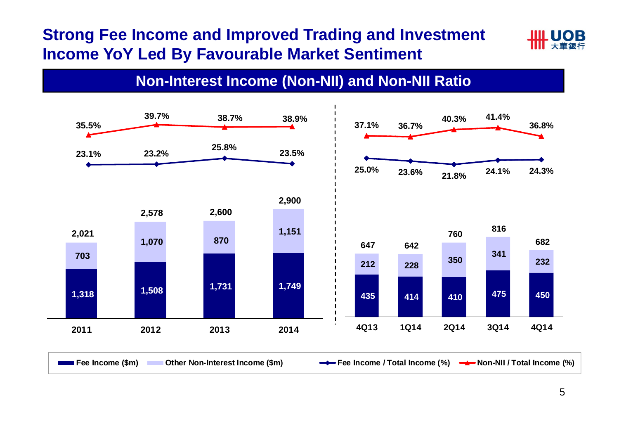#### **Strong Fee Income and Improved Trading and Investment Income YoY Led By Favourable Market Sentiment**



#### **Non-Interest Income (Non-NII) and Non-NII Ratio**

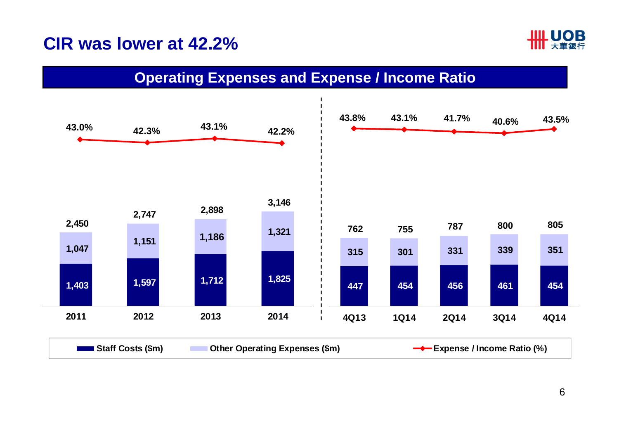#### **CIR was lower at 42.2%**



#### **Operating Expenses and Expense / Income Ratio**

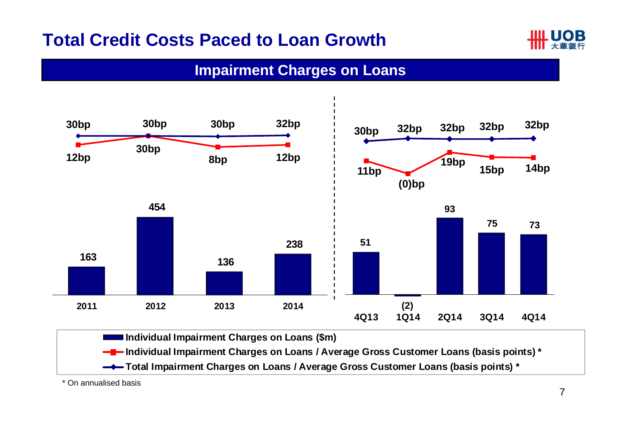### **Total Credit Costs Paced to Loan Growth**



#### **Impairment Charges on Loans**



\* On annualised basis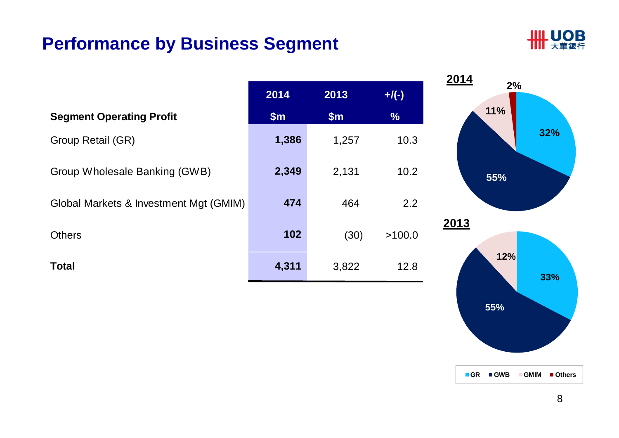#### **Performance by Business Segment**



| 2014<br>2013<br>$+/(-)$<br>11%<br>\$m\$<br>$\frac{9}{6}$<br><b>Segment Operating Profit</b><br>\$m\$<br>1,386<br>10.3<br>Group Retail (GR)<br>1,257<br>2,349<br>2,131<br>10.2<br>Group Wholesale Banking (GWB)<br>55%<br>474<br>464<br>2.2<br>Global Markets & Investment Mgt (GMIM) |  |  | 2014 |
|--------------------------------------------------------------------------------------------------------------------------------------------------------------------------------------------------------------------------------------------------------------------------------------|--|--|------|
|                                                                                                                                                                                                                                                                                      |  |  | 2%   |
|                                                                                                                                                                                                                                                                                      |  |  |      |
|                                                                                                                                                                                                                                                                                      |  |  |      |
|                                                                                                                                                                                                                                                                                      |  |  |      |
|                                                                                                                                                                                                                                                                                      |  |  |      |
| 2013<br>102<br><b>Others</b><br>(30)<br>>100.0                                                                                                                                                                                                                                       |  |  |      |
| 12%<br>4,311<br><b>Total</b><br>3,822<br>12.8                                                                                                                                                                                                                                        |  |  |      |

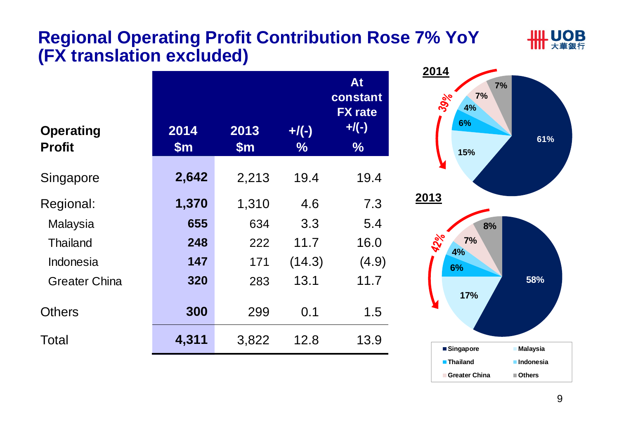#### **Regional Operating Profit Contribution Rose 7% YoY (FX translation excluded)**



| <b>Operating</b>     | 2014          | 2013          | $+$ /(-) | At<br>constant<br><b>FX</b> rate<br>$+$ /(-) |
|----------------------|---------------|---------------|----------|----------------------------------------------|
| <b>Profit</b>        | $\mathsf{Sm}$ | $\mathsf{Sm}$ | $\%$     | $\frac{9}{6}$                                |
| Singapore            | 2,642         | 2,213         | 19.4     | 19.4                                         |
| Regional:            | 1,370         | 1,310         | 4.6      | 7.3                                          |
| Malaysia             | 655           | 634           | 3.3      | 5.4                                          |
| <b>Thailand</b>      | 248           | 222           | 11.7     | 16.0                                         |
| Indonesia            | 147           | 171           | (14.3)   | (4.9)                                        |
| <b>Greater China</b> | 320           | 283           | 13.1     | 11.7                                         |
| <b>Others</b>        | 300           | 299           | 0.1      | 1.5                                          |
| Total                | 4,311         | 3,822         | 12.8     | 13.9                                         |

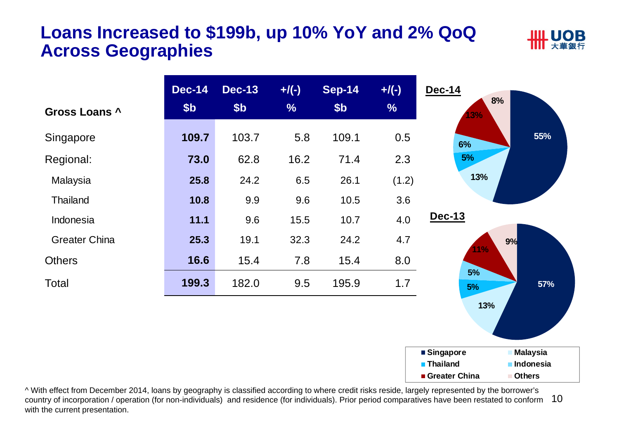#### **Loans Increased to \$199b, up 10% YoY and 2% QoQ Across Geographies**





country of incorporation / operation (for non-individuals) and residence (for individuals). Prior period comparatives have been restated to conform 10 ^ With effect from December 2014, loans by geography is classified according to where credit risks reside, largely represented by the borrower's with the current presentation.

**Greater China**

**Others**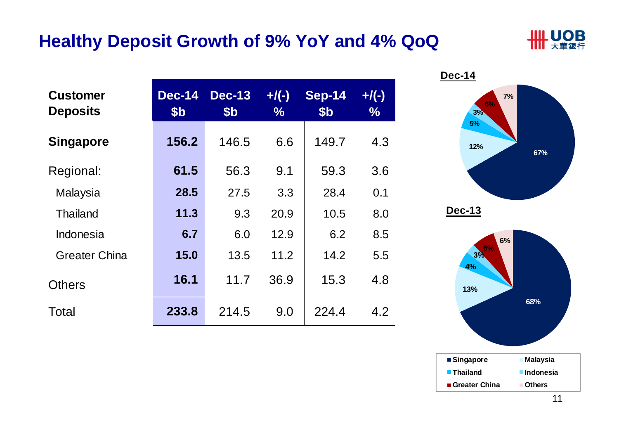#### **Healthy Deposit Growth of 9% YoY and 4% QoQ**



| <b>Customer</b><br><b>Deposits</b> | <b>Dec-14</b><br>\$ <sub>b</sub> | <b>Dec-13</b><br>\$ <sub>b</sub> | $+/(-)$<br>$\frac{0}{0}$ | <b>Sep-14</b><br>\$ <sub>b</sub> | $+$ /(-)<br>$\%$ |
|------------------------------------|----------------------------------|----------------------------------|--------------------------|----------------------------------|------------------|
| <b>Singapore</b>                   | 156.2                            | 146.5                            | 6.6                      | 149.7                            | 4.3              |
| Regional:                          | 61.5                             | 56.3                             | 9.1                      | 59.3                             | 3.6              |
| Malaysia                           | 28.5                             | 27.5                             | 3.3                      | 28.4                             | 0.1              |
| <b>Thailand</b>                    | 11.3                             | 9.3                              | 20.9                     | 10.5                             | 8.0              |
| Indonesia                          | 6.7                              | 6.0                              | 12.9                     | 6.2                              | 8.5              |
| <b>Greater China</b>               | 15.0                             | 13.5                             | 11.2                     | 14.2                             | 5.5              |
| <b>Others</b>                      | 16.1                             | 11.7                             | 36.9                     | 15.3                             | 4.8              |
| Total                              | 233.8                            | 214.5                            | 9.0                      | 224.4                            | 4.2              |

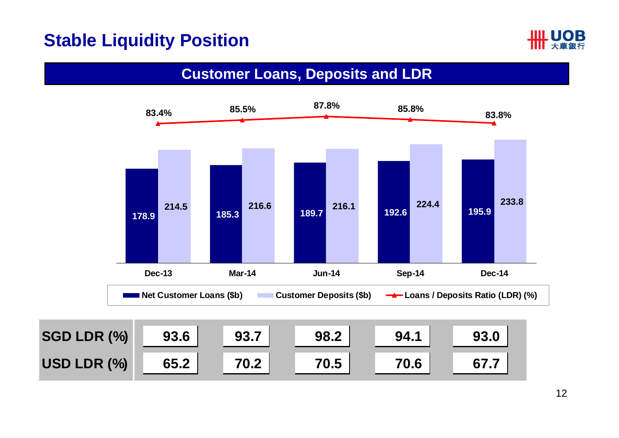#### **Stable Liquidity Position**



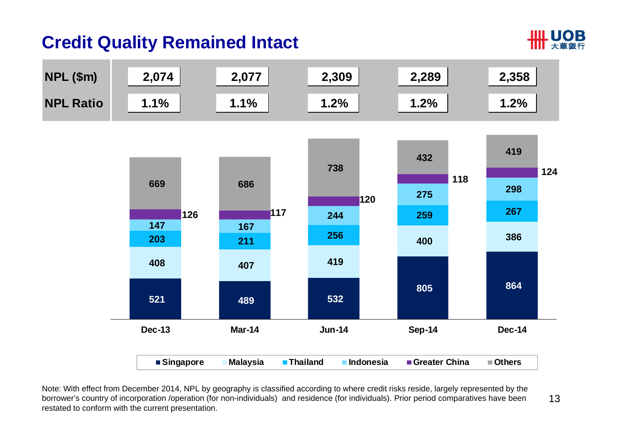### **Credit Quality Remained Intact**





Note: With effect from December 2014, NPL by geography is classified according to where credit risks reside, largely represented by the borrower's country of incorporation /operation (for non-individuals) and residence (for individuals). Prior period comparatives have been restated to conform with the current presentation.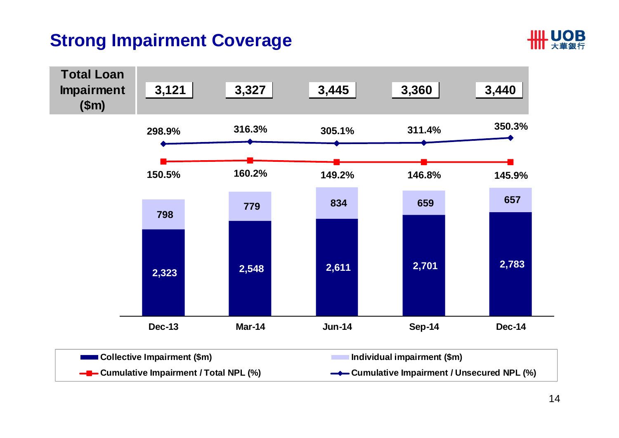### **Strong Impairment Coverage**



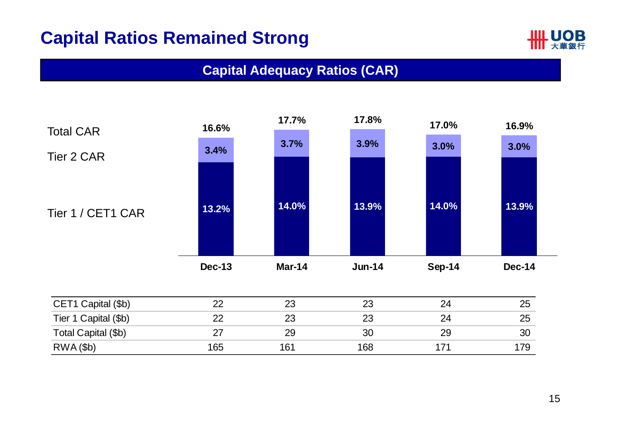### **Capital Ratios Remained Strong**



#### **Capital Adequacy Ratios (CAR)**



| CET1 Capital (\$b)   |     | 23  | 23  |    | 25  |
|----------------------|-----|-----|-----|----|-----|
| Tier 1 Capital (\$b) |     | 23  | nr  | 2Δ | 25  |
| Total Capital (\$b)  |     | 29  | 30  |    | 30  |
| $RWA$ $(fb)$         | 165 | 161 | 168 |    | 17Q |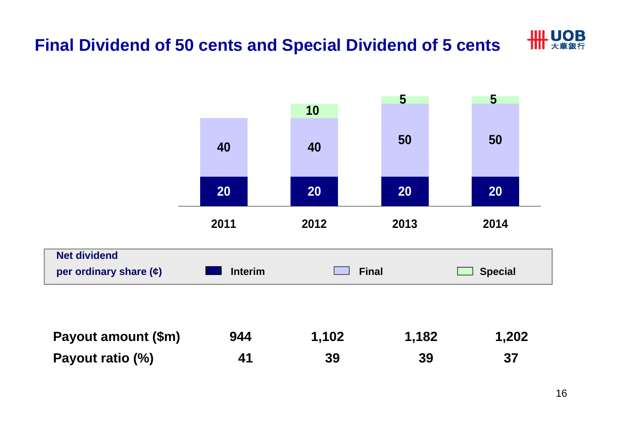

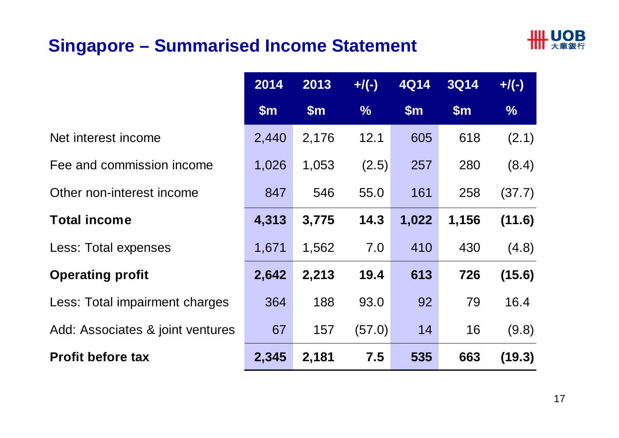### **Singapore – Summarised Income Statement**



|                                  | 2014  | 2013  | $+/(-)$       | <b>4Q14</b> | <b>3Q14</b> | $+$ /(-)      |
|----------------------------------|-------|-------|---------------|-------------|-------------|---------------|
|                                  | \$m\$ | \$m\$ | $\frac{9}{6}$ | \$m\$       | \$m\$       | $\frac{9}{6}$ |
| Net interest income              | 2,440 | 2,176 | 12.1          | 605         | 618         | (2.1)         |
| Fee and commission income        | 1,026 | 1,053 | (2.5)         | 257         | 280         | (8.4)         |
| Other non-interest income        | 847   | 546   | 55.0          | 161         | 258         | (37.7)        |
| <b>Total income</b>              | 4,313 | 3,775 | 14.3          | 1,022       | 1,156       | (11.6)        |
| <b>Less: Total expenses</b>      | 1,671 | 1,562 | 7.0           | 410         | 430         | (4.8)         |
| <b>Operating profit</b>          | 2,642 | 2,213 | 19.4          | 613         | 726         | (15.6)        |
| Less: Total impairment charges   | 364   | 188   | 93.0          | 92          | 79          | 16.4          |
| Add: Associates & joint ventures | 67    | 157   | (57.0)        | 14          | 16          | (9.8)         |
| <b>Profit before tax</b>         | 2,345 | 2,181 | 7.5           | 535         | 663         | (19.3)        |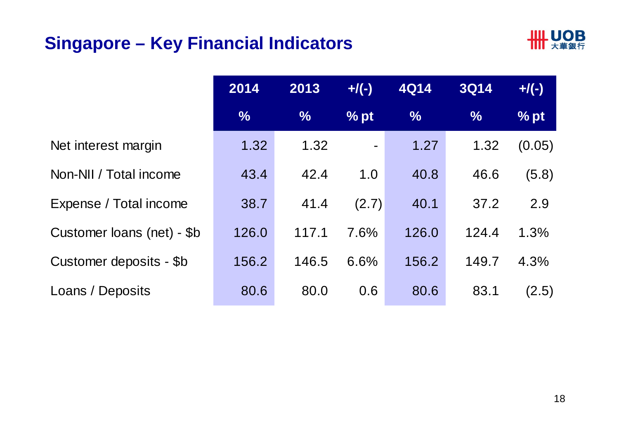### **Singapore – Key Financial Indicators**



|                            | 2014          | 2013          | $+$ /(-)       | <b>4Q14</b>   | <b>3Q14</b>   | $+$ /(-)      |
|----------------------------|---------------|---------------|----------------|---------------|---------------|---------------|
|                            | $\frac{0}{0}$ | $\frac{1}{2}$ | % pt           | $\frac{9}{6}$ | $\frac{9}{6}$ | $\sqrt{2}$ pt |
| Net interest margin        | 1.32          | 1.32          | $\blacksquare$ | 1.27          | 1.32          | (0.05)        |
| Non-NII / Total income     | 43.4          | 42.4          | 1.0            | 40.8          | 46.6          | (5.8)         |
| Expense / Total income     | 38.7          | 41.4          | (2.7)          | 40.1          | 37.2          | 2.9           |
| Customer loans (net) - \$b | 126.0         | 117.1         | 7.6%           | 126.0         | 124.4         | 1.3%          |
| Customer deposits - \$b    | 156.2         | 146.5         | 6.6%           | 156.2         | 149.7         | 4.3%          |
| Loans / Deposits           | 80.6          | 80.0          | 0.6            | 80.6          | 83.1          | (2.5)         |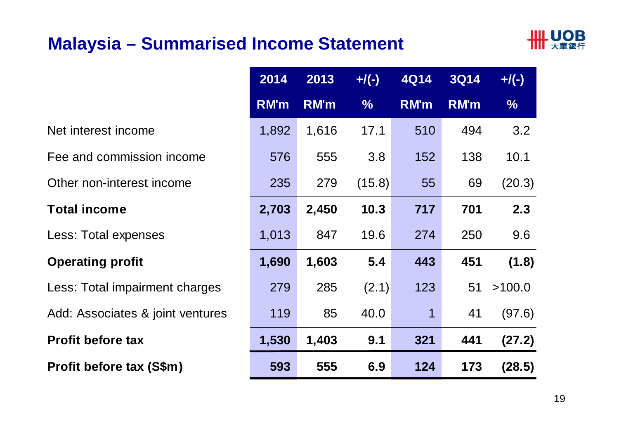### **Malaysia – Summarised Income Statement**



|                                  | <b>RM'm</b> |  |
|----------------------------------|-------------|--|
| Net interest income              | 1,892       |  |
| Fee and commission income        | 576         |  |
| Other non-interest income        | 235         |  |
| <b>Total income</b>              | 2,703       |  |
| Less: Total expenses             | 1,013       |  |
| <b>Operating profit</b>          | 1,690       |  |
| Less: Total impairment charges   | 279         |  |
| Add: Associates & joint ventures | 119         |  |
| <b>Profit before tax</b>         | 1,530       |  |
| Profit before tax (S\$m)         | 593         |  |

|                                  | 2014        | 2013        | $+/(-)$       | <b>4Q14</b> | <b>3Q14</b> | $+/(-)$ |
|----------------------------------|-------------|-------------|---------------|-------------|-------------|---------|
|                                  | <b>RM'm</b> | <b>RM'm</b> | $\frac{9}{6}$ | <b>RM'm</b> | <b>RM'm</b> | $\%$    |
| Net interest income              | 1,892       | 1,616       | 17.1          | 510         | 494         | 3.2     |
| Fee and commission income        | 576         | 555         | 3.8           | 152         | 138         | 10.1    |
| Other non-interest income        | 235         | 279         | (15.8)        | 55          | 69          | (20.3)  |
| <b>Total income</b>              | 2,703       | 2,450       | 10.3          | 717         | 701         | 2.3     |
| Less: Total expenses             | 1,013       | 847         | 19.6          | 274         | 250         | 9.6     |
| <b>Operating profit</b>          | 1,690       | 1,603       | 5.4           | 443         | 451         | (1.8)   |
| Less: Total impairment charges   | 279         | 285         | (2.1)         | 123         | 51          | >100.0  |
| Add: Associates & joint ventures | 119         | 85          | 40.0          | 1           | 41          | (97.6)  |
| <b>Profit before tax</b>         | 1,530       | 1,403       | 9.1           | 321         | 441         | (27.2)  |
| Profit before tax (S\$m)         | 593         | 555         | 6.9           | 124         | 173         | (28.5)  |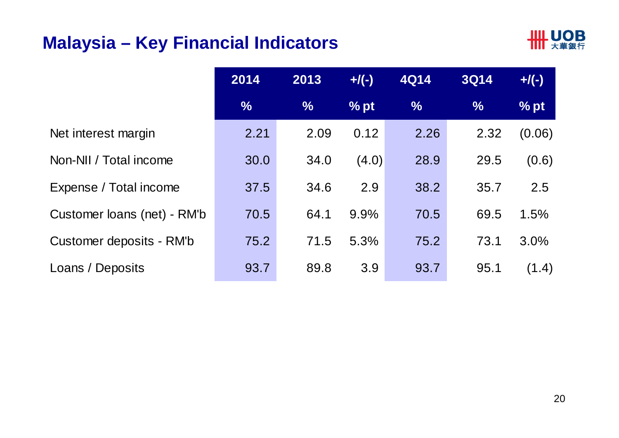### **Malaysia – Key Financial Indicators**



|                             | 2014          | 2013          | $+$ /(-) | <b>4Q14</b>   | <b>3Q14</b>   | $+$ /(-) |
|-----------------------------|---------------|---------------|----------|---------------|---------------|----------|
|                             | $\frac{0}{6}$ | $\frac{0}{6}$ | $%$ pt   | $\frac{9}{6}$ | $\frac{9}{6}$ | % pt     |
| Net interest margin         | 2.21          | 2.09          | 0.12     | 2.26          | 2.32          | (0.06)   |
| Non-NII / Total income      | 30.0          | 34.0          | (4.0)    | 28.9          | 29.5          | (0.6)    |
| Expense / Total income      | 37.5          | 34.6          | 2.9      | 38.2          | 35.7          | 2.5      |
| Customer loans (net) - RM'b | 70.5          | 64.1          | 9.9%     | 70.5          | 69.5          | 1.5%     |
| Customer deposits - RM'b    | 75.2          | 71.5          | 5.3%     | 75.2          | 73.1          | 3.0%     |
| Loans / Deposits            | 93.7          | 89.8          | 3.9      | 93.7          | 95.1          | (1.4)    |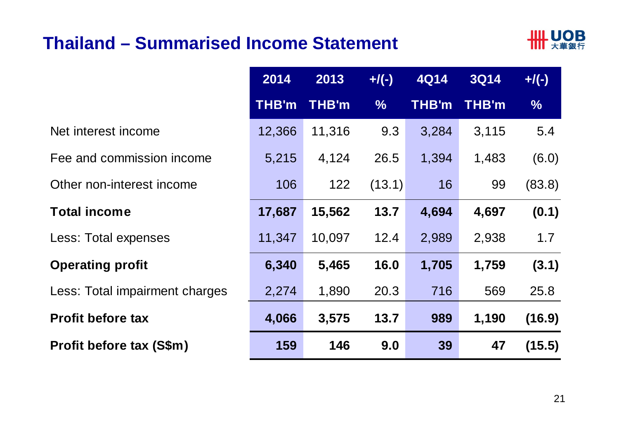#### **Thailand – Summarised Income Statement**



|                                 | 2014         | 2013   | $+/(-)$       | <b>4Q14</b> | <b>3Q14</b>  | $+/(-)$ |
|---------------------------------|--------------|--------|---------------|-------------|--------------|---------|
|                                 | <b>THB'm</b> | THB'm  | $\frac{1}{2}$ | THB'm       | <b>THB'm</b> | %       |
| Net interest income             | 12,366       | 11,316 | 9.3           | 3,284       | 3,115        | 5.4     |
| Fee and commission income       | 5,215        | 4,124  | 26.5          | 1,394       | 1,483        | (6.0)   |
| Other non-interest income       | 106          | 122    | (13.1)        | 16          | 99           | (83.8)  |
| <b>Total income</b>             | 17,687       | 15,562 | 13.7          | 4,694       | 4,697        | (0.1)   |
| Less: Total expenses            | 11,347       | 10,097 | 12.4          | 2,989       | 2,938        | 1.7     |
| <b>Operating profit</b>         | 6,340        | 5,465  | 16.0          | 1,705       | 1,759        | (3.1)   |
| Less: Total impairment charges  | 2,274        | 1,890  | 20.3          | 716         | 569          | 25.8    |
| <b>Profit before tax</b>        | 4,066        | 3,575  | 13.7          | 989         | 1,190        | (16.9)  |
| <b>Profit before tax (S\$m)</b> | 159          | 146    | 9.0           | 39          | 47           | (15.5)  |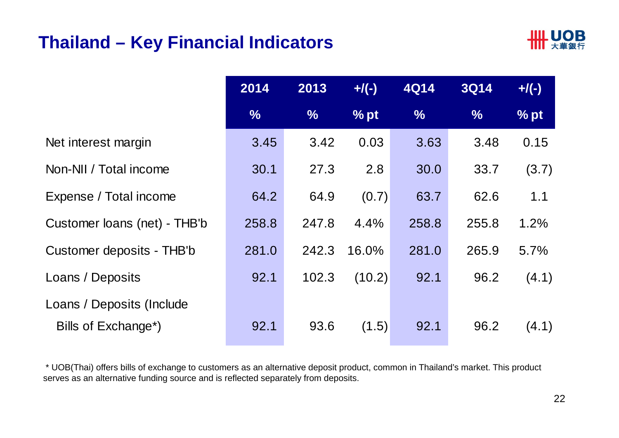#### **Thailand – Key Financial Indicators**



|                                  | 2014  | 2013          | $+$ /(-) | <b>4Q14</b> | <b>3Q14</b>   | $+$ /(-) |
|----------------------------------|-------|---------------|----------|-------------|---------------|----------|
|                                  | $\%$  | $\frac{9}{6}$ | $%$ pt   | $\%$        | $\frac{0}{0}$ | $%$ pt   |
| Net interest margin              | 3.45  | 3.42          | 0.03     | 3.63        | 3.48          | 0.15     |
| Non-NII / Total income           | 30.1  | 27.3          | 2.8      | 30.0        | 33.7          | (3.7)    |
| Expense / Total income           | 64.2  | 64.9          | (0.7)    | 63.7        | 62.6          | 1.1      |
| Customer loans (net) - THB'b     | 258.8 | 247.8         | 4.4%     | 258.8       | 255.8         | 1.2%     |
| Customer deposits - THB'b        | 281.0 | 242.3         | 16.0%    | 281.0       | 265.9         | 5.7%     |
| Loans / Deposits                 | 92.1  | 102.3         | (10.2)   | 92.1        | 96.2          | (4.1)    |
| Loans / Deposits (Include        |       |               |          |             |               |          |
| Bills of Exchange <sup>*</sup> ) | 92.1  | 93.6          | (1.5)    | 92.1        | 96.2          | (4.1)    |

\* UOB(Thai) offers bills of exchange to customers as an alternative deposit product, common in Thailand's market. This product serves as an alternative funding source and is reflected separately from deposits.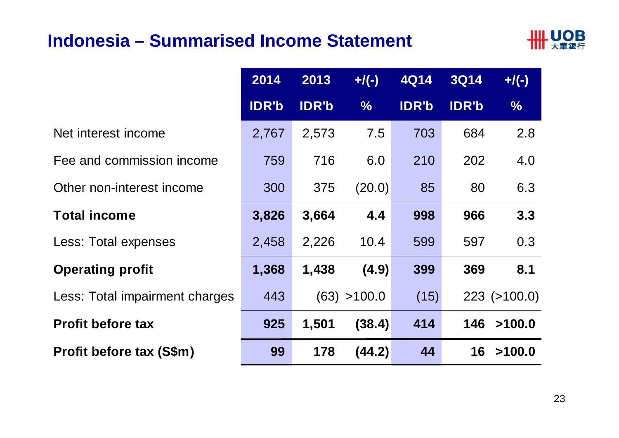#### **Indonesia – Summarised Income Statement**



|                                 | 2014         | 2013         | $+/(-)$       | <b>4Q14</b>  | <b>3Q14</b>  | $+$ /(-)           |
|---------------------------------|--------------|--------------|---------------|--------------|--------------|--------------------|
|                                 | <b>IDR'b</b> | <b>IDR'b</b> | $\frac{0}{6}$ | <b>IDR'b</b> | <b>IDR'b</b> | $\frac{1}{2}$      |
| Net interest income             | 2,767        | 2,573        | 7.5           | 703          | 684          | 2.8                |
| Fee and commission income       | 759          | 716          | 6.0           | 210          | 202          | 4.0                |
| Other non-interest income       | 300          | 375          | (20.0)        | 85           | 80           | 6.3                |
| <b>Total income</b>             | 3,826        | 3,664        | 4.4           | 998          | 966          | 3.3                |
| Less: Total expenses            | 2,458        | 2,226        | 10.4          | 599          | 597          | 0.3                |
| <b>Operating profit</b>         | 1,368        | 1,438        | (4.9)         | 399          | 369          | 8.1                |
| Less: Total impairment charges  | 443          |              | (63) > 100.0  | (15)         |              | $223$ ( $>100.0$ ) |
| <b>Profit before tax</b>        | 925          | 1,501        | (38.4)        | 414          | 146          | >100.0             |
| <b>Profit before tax (S\$m)</b> | 99           | 178          | (44.2)        | 44           | 16           | >100.0             |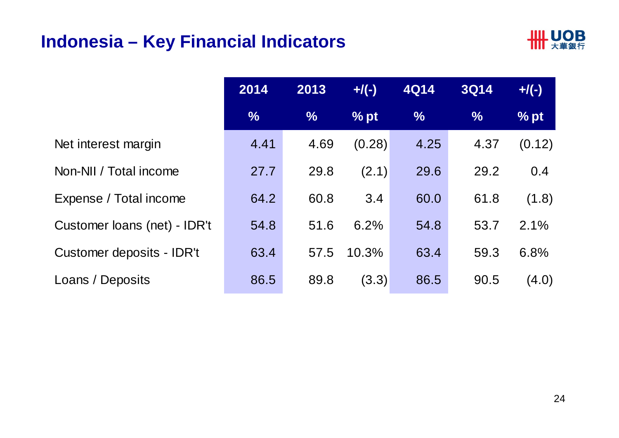#### **Indonesia – Key Financial Indicators**



|                              | 2014          | 2013          | $+$ /(-) | <b>4Q14</b>   | <b>3Q14</b> | $+$ /(-)      |
|------------------------------|---------------|---------------|----------|---------------|-------------|---------------|
|                              | $\frac{9}{6}$ | $\frac{9}{6}$ | % pt     | $\frac{9}{6}$ | $\%$        | $\sqrt{2}$ pt |
| Net interest margin          | 4.41          | 4.69          | (0.28)   | 4.25          | 4.37        | (0.12)        |
| Non-NII / Total income       | 27.7          | 29.8          | (2.1)    | 29.6          | 29.2        | 0.4           |
| Expense / Total income       | 64.2          | 60.8          | 3.4      | 60.0          | 61.8        | (1.8)         |
| Customer loans (net) - IDR't | 54.8          | 51.6          | 6.2%     | 54.8          | 53.7        | 2.1%          |
| Customer deposits - IDR't    | 63.4          | 57.5          | 10.3%    | 63.4          | 59.3        | 6.8%          |
| Loans / Deposits             | 86.5          | 89.8          | (3.3)    | 86.5          | 90.5        | (4.0)         |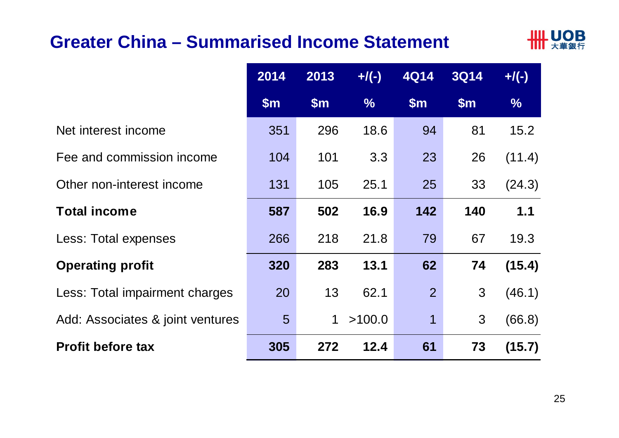#### **Greater China – Summarised Income Statement**



|                                  | 2014          | 2013  | $+/(-)$       | 4Q14           | <b>3Q14</b> | $+$ /(-)      |
|----------------------------------|---------------|-------|---------------|----------------|-------------|---------------|
|                                  | $\mathsf{Sm}$ | \$m\$ | $\frac{0}{6}$ | \$m\$          | \$m\$       | $\frac{9}{6}$ |
| Net interest income              | 351           | 296   | 18.6          | 94             | 81          | 15.2          |
| Fee and commission income        | 104           | 101   | 3.3           | 23             | 26          | (11.4)        |
| Other non-interest income        | 131           | 105   | 25.1          | 25             | 33          | (24.3)        |
| <b>Total income</b>              | 587           | 502   | 16.9          | 142            | 140         | 1.1           |
| Less: Total expenses             | 266           | 218   | 21.8          | 79             | 67          | 19.3          |
| <b>Operating profit</b>          | 320           | 283   | 13.1          | 62             | 74          | (15.4)        |
| Less: Total impairment charges   | 20            | 13    | 62.1          | $\overline{2}$ | 3           | (46.1)        |
| Add: Associates & joint ventures | 5             | 1     | >100.0        | 1              | 3           | (66.8)        |
| <b>Profit before tax</b>         | 305           | 272   | 12.4          | 61             | 73          | (15.7)        |